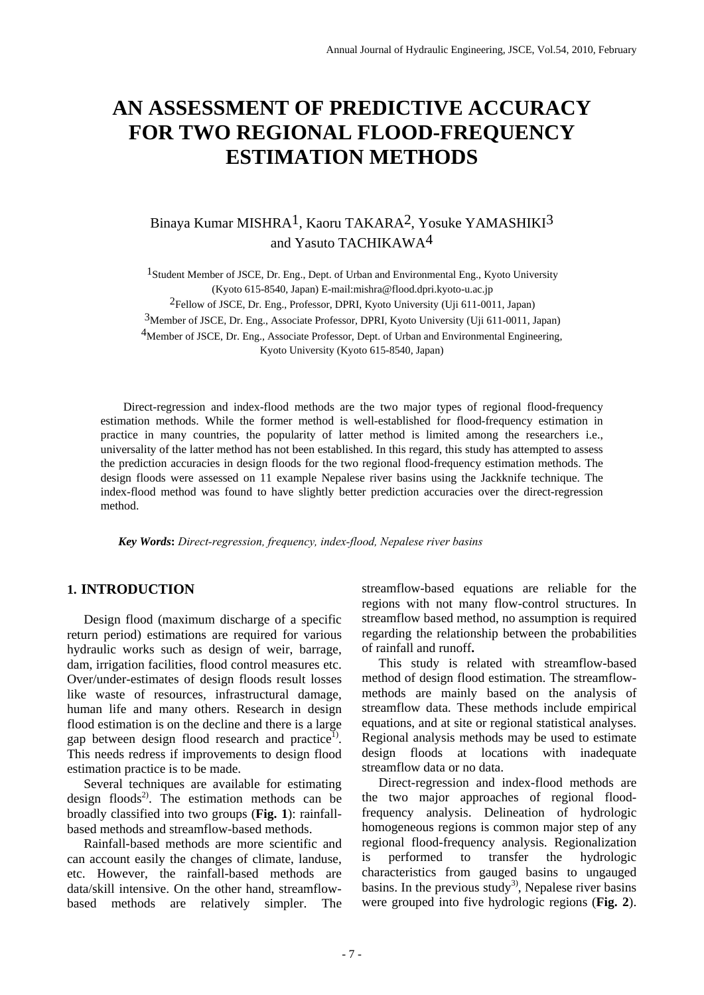# **AN ASSESSMENT OF PREDICTIVE ACCURACY FOR TWO REGIONAL FLOOD-FREQUENCY ESTIMATION METHODS**

# Binaya Kumar MISHRA1, Kaoru TAKARA2, Yosuke YAMASHIKI3 and Yasuto TACHIKAWA4

<sup>1</sup>Student Member of JSCE, Dr. Eng., Dept. of Urban and Environmental Eng., Kyoto University (Kyoto 615-8540, Japan) E-mail:mishra@flood.dpri.kyoto-u.ac.jp

2Fellow of JSCE, Dr. Eng., Professor, DPRI, Kyoto University (Uji 611-0011, Japan)

3Member of JSCE, Dr. Eng., Associate Professor, DPRI, Kyoto University (Uji 611-0011, Japan)

<sup>4</sup>Member of JSCE, Dr. Eng., Associate Professor, Dept. of Urban and Environmental Engineering,

Kyoto University (Kyoto 615-8540, Japan)

Direct-regression and index-flood methods are the two major types of regional flood-frequency estimation methods. While the former method is well-established for flood-frequency estimation in practice in many countries, the popularity of latter method is limited among the researchers i.e., universality of the latter method has not been established. In this regard, this study has attempted to assess the prediction accuracies in design floods for the two regional flood-frequency estimation methods. The design floods were assessed on 11 example Nepalese river basins using the Jackknife technique. The index-flood method was found to have slightly better prediction accuracies over the direct-regression method.

 *Key Words***:** *Direct-regression, frequency, index-flood, Nepalese river basins* 

# **1. INTRODUCTION**

Design flood (maximum discharge of a specific return period) estimations are required for various hydraulic works such as design of weir, barrage, dam, irrigation facilities, flood control measures etc. Over/under-estimates of design floods result losses like waste of resources, infrastructural damage, human life and many others. Research in design flood estimation is on the decline and there is a large gap between design flood research and practice<sup>1)</sup>. This needs redress if improvements to design flood estimation practice is to be made.

Several techniques are available for estimating design floods<sup>2)</sup>. The estimation methods can be broadly classified into two groups (**Fig. 1**): rainfallbased methods and streamflow-based methods.

Rainfall-based methods are more scientific and can account easily the changes of climate, landuse, etc. However, the rainfall-based methods are data/skill intensive. On the other hand, streamflowbased methods are relatively simpler. The

streamflow-based equations are reliable for the regions with not many flow-control structures. In streamflow based method, no assumption is required regarding the relationship between the probabilities of rainfall and runoff**.**

This study is related with streamflow-based method of design flood estimation. The streamflowmethods are mainly based on the analysis of streamflow data. These methods include empirical equations, and at site or regional statistical analyses. Regional analysis methods may be used to estimate design floods at locations with inadequate streamflow data or no data.

Direct-regression and index-flood methods are the two major approaches of regional floodfrequency analysis. Delineation of hydrologic homogeneous regions is common major step of any regional flood-frequency analysis. Regionalization is performed to transfer the hydrologic characteristics from gauged basins to ungauged basins. In the previous study<sup>3)</sup>, Nepalese river basins were grouped into five hydrologic regions (**Fig. 2**).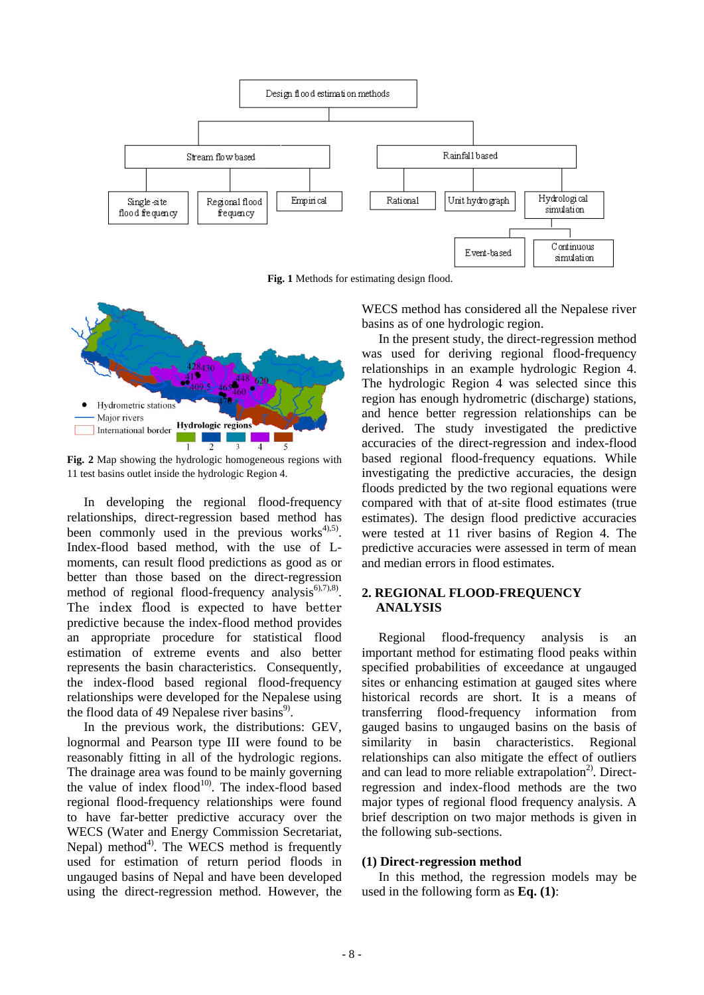

**Fig. 1** Methods for estimating design flood.



**Fig. 2** Map showing the hydrologic homogeneous regions with 11 test basins outlet inside the hydrologic Region 4.

In developing the regional flood-frequency relationships, direct-regression based method has been commonly used in the previous works $4^{4,5}$ . Index-flood based method, with the use of Lmoments, can result flood predictions as good as or better than those based on the direct-regression method of regional flood-frequency analysis $6,7,8$ . The index flood is expected to have better predictive because the index-flood method provides an appropriate procedure for statistical flood estimation of extreme events and also better represents the basin characteristics. Consequently, the index-flood based regional flood-frequency relationships were developed for the Nepalese using the flood data of 49 Nepalese river basins<sup>9)</sup>.

In the previous work, the distributions: GEV, lognormal and Pearson type III were found to be reasonably fitting in all of the hydrologic regions. The drainage area was found to be mainly governing the value of index flood<sup>10</sup>. The index-flood based regional flood-frequency relationships were found to have far-better predictive accuracy over the WECS (Water and Energy Commission Secretariat, Nepal) method<sup>4)</sup>. The WECS method is frequently used for estimation of return period floods in ungauged basins of Nepal and have been developed using the direct-regression method. However, the

WECS method has considered all the Nepalese river basins as of one hydrologic region.

In the present study, the direct-regression method was used for deriving regional flood-frequency relationships in an example hydrologic Region 4. The hydrologic Region  $\overline{4}$  was selected since this region has enough hydrometric (discharge) stations, and hence better regression relationships can be derived. The study investigated the predictive accuracies of the direct-regression and index-flood based regional flood-frequency equations. While investigating the predictive accuracies, the design floods predicted by the two regional equations were compared with that of at-site flood estimates (true estimates). The design flood predictive accuracies were tested at 11 river basins of Region 4. The predictive accuracies were assessed in term of mean and median errors in flood estimates.

# **2. REGIONAL FLOOD-FREQUENCY ANALYSIS**

Regional flood-frequency analysis is an important method for estimating flood peaks within specified probabilities of exceedance at ungauged sites or enhancing estimation at gauged sites where historical records are short. It is a means of transferring flood-frequency information from gauged basins to ungauged basins on the basis of similarity in basin characteristics. Regional relationships can also mitigate the effect of outliers and can lead to more reliable extrapolation $2$ . Directregression and index-flood methods are the two major types of regional flood frequency analysis. A brief description on two major methods is given in the following sub-sections.

# **(1) Direct-regression method**

In this method, the regression models may be used in the following form as **Eq. (1)**: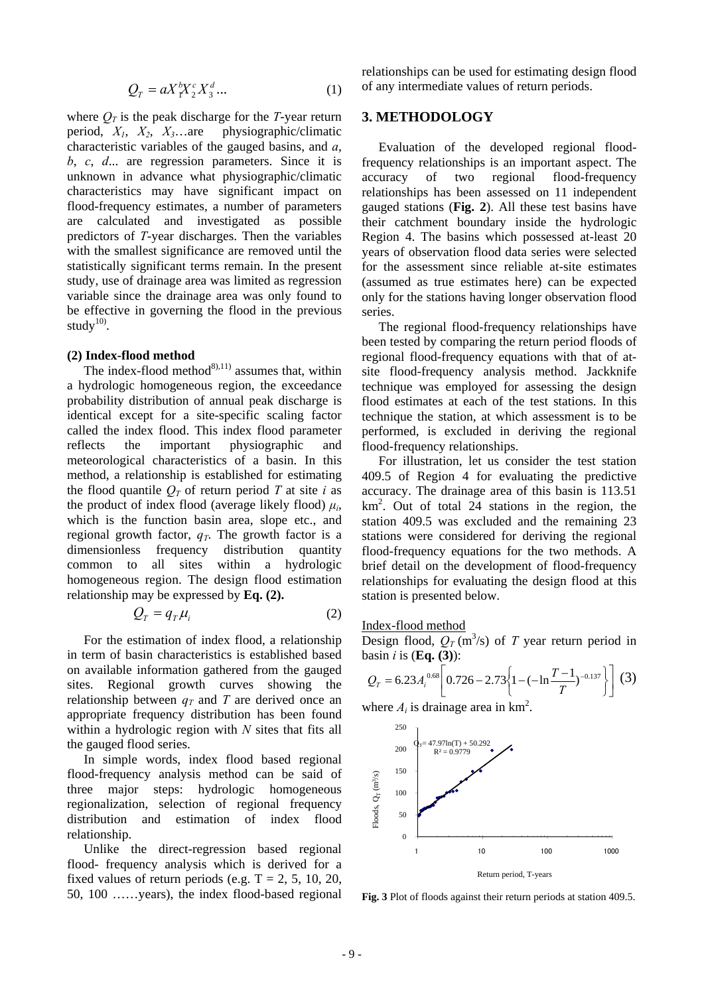$$
Q_T = aX_T^b X_2^c X_3^d \dots \tag{1}
$$

where  $Q_T$  is the peak discharge for the *T*-year return period, *X1*, *X2*, *X3*…are physiographic/climatic characteristic variables of the gauged basins, and *a*, *b*, *c*, *d*... are regression parameters. Since it is unknown in advance what physiographic/climatic characteristics may have significant impact on flood-frequency estimates, a number of parameters are calculated and investigated as possible predictors of *T*-year discharges. Then the variables with the smallest significance are removed until the statistically significant terms remain. In the present study, use of drainage area was limited as regression variable since the drainage area was only found to be effective in governing the flood in the previous study $^{10}$ .

#### **(2) Index-flood method**

The index-flood method $^{8(11)}$  assumes that, within a hydrologic homogeneous region, the exceedance probability distribution of annual peak discharge is identical except for a site-specific scaling factor called the index flood. This index flood parameter reflects the important physiographic and meteorological characteristics of a basin. In this method, a relationship is established for estimating the flood quantile  $Q_T$  of return period T at site *i* as the product of index flood (average likely flood)  $\mu_i$ , which is the function basin area, slope etc., and regional growth factor,  $q_T$ . The growth factor is a dimensionless frequency distribution quantity common to all sites within a hydrologic homogeneous region. The design flood estimation relationship may be expressed by **Eq. (2).**

$$
Q_T = q_T \mu_i \tag{2}
$$

For the estimation of index flood, a relationship in term of basin characteristics is established based on available information gathered from the gauged sites. Regional growth curves showing the relationship between  $q_T$  and *T* are derived once an appropriate frequency distribution has been found within a hydrologic region with *N* sites that fits all the gauged flood series.

In simple words, index flood based regional flood-frequency analysis method can be said of three major steps: hydrologic homogeneous regionalization, selection of regional frequency distribution and estimation of index flood relationship.

Unlike the direct-regression based regional flood- frequency analysis which is derived for a fixed values of return periods (e.g.  $T = 2, 5, 10, 20$ , 50, 100 ……years), the index flood-based regional relationships can be used for estimating design flood of any intermediate values of return periods.

# **3. METHODOLOGY**

Evaluation of the developed regional floodfrequency relationships is an important aspect. The accuracy of two regional flood-frequency relationships has been assessed on 11 independent gauged stations (**Fig. 2**). All these test basins have their catchment boundary inside the hydrologic Region 4. The basins which possessed at-least 20 years of observation flood data series were selected for the assessment since reliable at-site estimates (assumed as true estimates here) can be expected only for the stations having longer observation flood series.

The regional flood-frequency relationships have been tested by comparing the return period floods of regional flood-frequency equations with that of atsite flood-frequency analysis method. Jackknife technique was employed for assessing the design flood estimates at each of the test stations. In this technique the station, at which assessment is to be performed, is excluded in deriving the regional flood-frequency relationships.

For illustration, let us consider the test station 409.5 of Region 4 for evaluating the predictive accuracy. The drainage area of this basin is 113.51 km2 . Out of total 24 stations in the region, the station 409.5 was excluded and the remaining 23 stations were considered for deriving the regional flood-frequency equations for the two methods. A brief detail on the development of flood-frequency relationships for evaluating the design flood at this station is presented below.

#### Index-flood method

Design flood,  $Q_T$  (m<sup>3</sup>/s) of *T* year return period in basin *i* is (**Eq. (3)**):

$$
Q_T = 6.23 A_i^{0.68} \left[ 0.726 - 2.73 \left\{ 1 - (-\ln \frac{T-1}{T})^{-0.137} \right\} \right] (3)
$$

where  $A_i$  is drainage area in  $km^2$ .



**Fig. 3** Plot of floods against their return periods at station 409.5.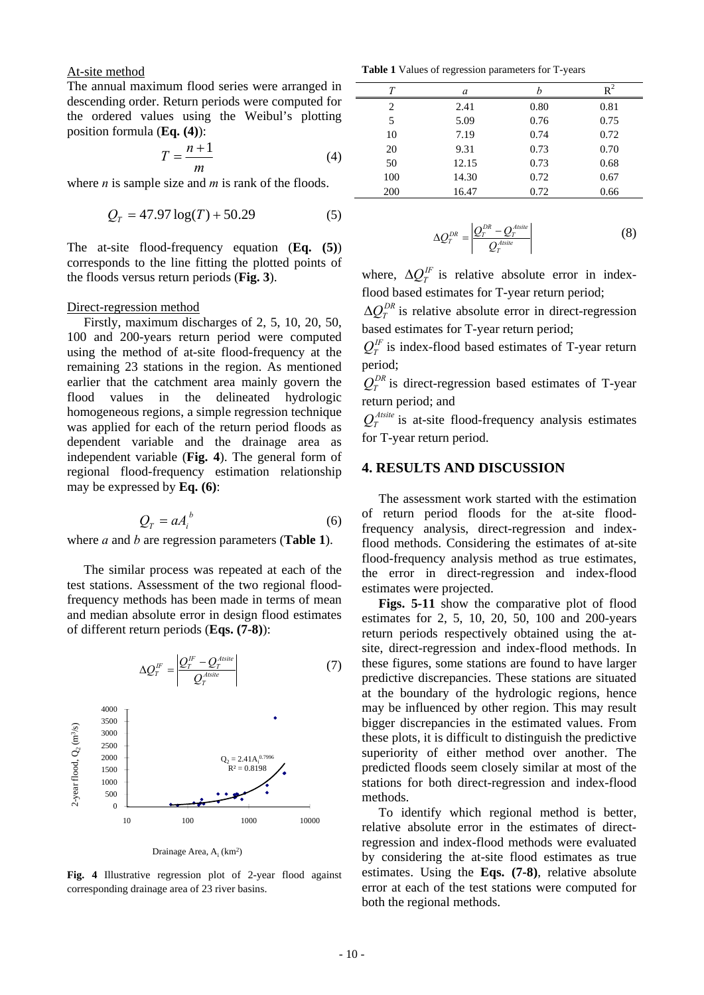At-site method

The annual maximum flood series were arranged in descending order. Return periods were computed for the ordered values using the Weibul's plotting position formula (**Eq. (4)**):

$$
T = \frac{n+1}{m} \tag{4}
$$

where *n* is sample size and *m* is rank of the floods.

$$
Q_T = 47.97 \log(T) + 50.29\tag{5}
$$

The at-site flood-frequency equation (**Eq. (5)**) corresponds to the line fitting the plotted points of the floods versus return periods (**Fig. 3**).

#### Direct-regression method

Firstly, maximum discharges of 2, 5, 10, 20, 50, 100 and 200-years return period were computed using the method of at-site flood-frequency at the remaining 23 stations in the region. As mentioned earlier that the catchment area mainly govern the flood values in the delineated hydrologic homogeneous regions, a simple regression technique was applied for each of the return period floods as dependent variable and the drainage area as independent variable (**Fig. 4**). The general form of regional flood-frequency estimation relationship may be expressed by **Eq. (6)**:

$$
Q_T = a A_i^b \tag{6}
$$

where *a* and *b* are regression parameters (**Table 1**).

The similar process was repeated at each of the test stations. Assessment of the two regional floodfrequency methods has been made in terms of mean and median absolute error in design flood estimates of different return periods (**Eqs. (7-8)**):



Drainage Area, A<sub>i</sub> (km<sup>2</sup>)

**Fig. 4** Illustrative regression plot of 2-year flood against corresponding drainage area of 23 river basins.

**Table 1** Values of regression parameters for T-years

| Т   | a     |      | $\rm R^2$ |
|-----|-------|------|-----------|
| 2   | 2.41  | 0.80 | 0.81      |
| 5   | 5.09  | 0.76 | 0.75      |
| 10  | 7.19  | 0.74 | 0.72      |
| 20  | 9.31  | 0.73 | 0.70      |
| 50  | 12.15 | 0.73 | 0.68      |
| 100 | 14.30 | 0.72 | 0.67      |
| 200 | 16.47 | 0.72 | 0.66      |

$$
\Delta Q_T^{DR} = \left| \frac{Q_T^{DR} - Q_T^{Asite}}{Q_T^{Asite}} \right| \tag{8}
$$

where,  $\Delta Q_T^{\text{IF}}$  is relative absolute error in indexflood based estimates for T-year return period;

 $\Delta Q_{\tau}^{DR}$  is relative absolute error in direct-regression based estimates for T-year return period;

 $Q_T^{\text{IF}}$  is index-flood based estimates of T-year return period;

 $Q_T^{DR}$  is direct-regression based estimates of T-year return period; and

 $Q_T^{Atsite}$  is at-site flood-frequency analysis estimates for T-year return period.

#### **4. RESULTS AND DISCUSSION**

The assessment work started with the estimation of return period floods for the at-site floodfrequency analysis, direct-regression and indexflood methods. Considering the estimates of at-site flood-frequency analysis method as true estimates, the error in direct-regression and index-flood estimates were projected.

**Figs. 5-11** show the comparative plot of flood estimates for 2, 5, 10, 20, 50, 100 and 200-years return periods respectively obtained using the atsite, direct-regression and index-flood methods. In these figures, some stations are found to have larger predictive discrepancies. These stations are situated at the boundary of the hydrologic regions, hence may be influenced by other region. This may result bigger discrepancies in the estimated values. From these plots, it is difficult to distinguish the predictive superiority of either method over another. The predicted floods seem closely similar at most of the stations for both direct-regression and index-flood methods.

To identify which regional method is better, relative absolute error in the estimates of directregression and index-flood methods were evaluated by considering the at-site flood estimates as true estimates. Using the **Eqs. (7-8)**, relative absolute error at each of the test stations were computed for both the regional methods.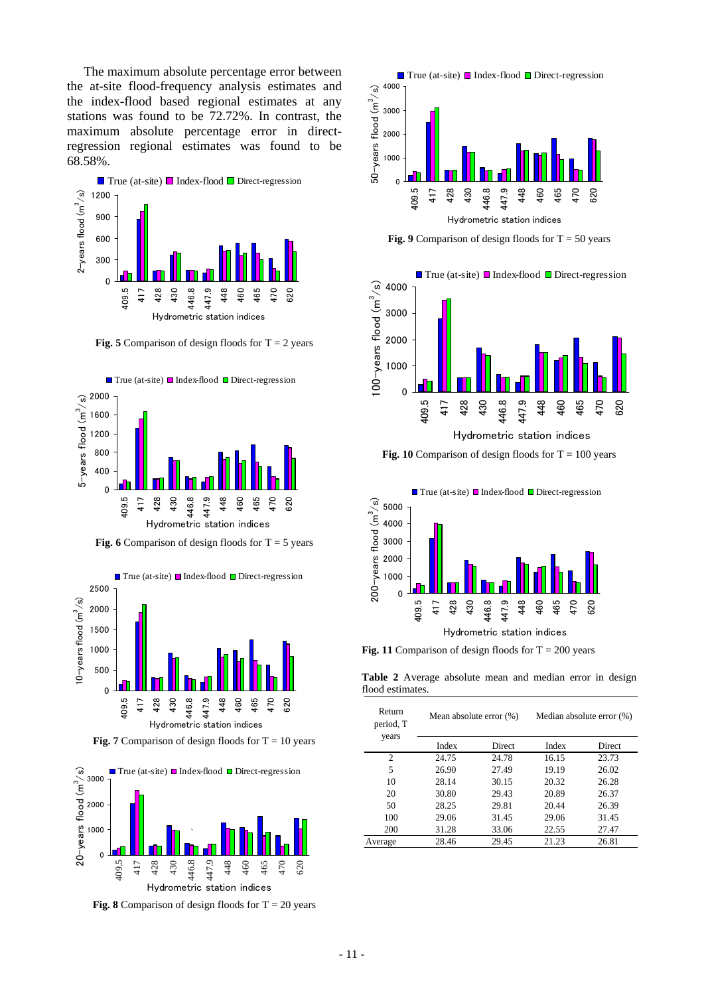The maximum absolute percentage error between the at-site flood-frequency analysis estimates and the index-flood based regional estimates at any stations was found to be 72.72%. In contrast, the maximum absolute percentage error in directregression regional estimates was found to be 68.58%.



**Fig. 5** Comparison of design floods for  $T = 2$  years



**Fig. 6** Comparison of design floods for  $T = 5$  years



**Fig. 7** Comparison of design floods for  $T = 10$  years



**Fig. 8** Comparison of design floods for  $T = 20$  years



**Fig. 9** Comparison of design floods for  $T = 50$  years



Hydrometric station indices

**Fig. 10** Comparison of design floods for  $T = 100$  years



**Fig. 11** Comparison of design floods for  $T = 200$  years

**Table 2** Average absolute mean and median error in design flood estimates.

| Return<br>period, T<br>years | Mean absolute error $(\%)$ |        | Median absolute error (%) |        |
|------------------------------|----------------------------|--------|---------------------------|--------|
|                              | Index                      | Direct | Index                     | Direct |
| 2                            | 24.75                      | 24.78  | 16.15                     | 23.73  |
| 5                            | 26.90                      | 27.49  | 19.19                     | 26.02  |
| 10                           | 28.14                      | 30.15  | 20.32                     | 26.28  |
| 20                           | 30.80                      | 29.43  | 20.89                     | 26.37  |
| 50                           | 28.25                      | 29.81  | 20.44                     | 26.39  |
| 100                          | 29.06                      | 31.45  | 29.06                     | 31.45  |
| 200                          | 31.28                      | 33.06  | 22.55                     | 27.47  |
| Average                      | 28.46                      | 29.45  | 21.23                     | 26.81  |